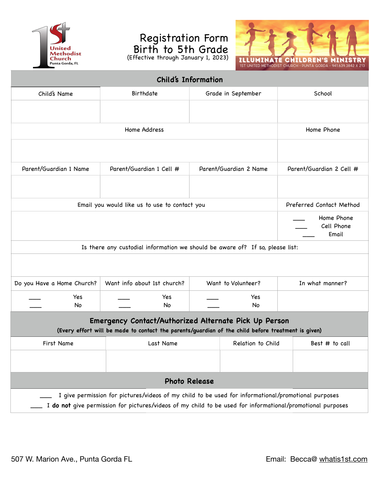

## Registration Form Birth to 5th Grade (Effective through January 1, 2023)



| <b>Child's Information</b>                                                                                                                                                                                        |                                |                        |                                   |  |  |  |
|-------------------------------------------------------------------------------------------------------------------------------------------------------------------------------------------------------------------|--------------------------------|------------------------|-----------------------------------|--|--|--|
| Child's Name                                                                                                                                                                                                      | Birthdate                      | Grade in September     | School                            |  |  |  |
|                                                                                                                                                                                                                   |                                |                        |                                   |  |  |  |
|                                                                                                                                                                                                                   |                                |                        |                                   |  |  |  |
|                                                                                                                                                                                                                   | Home Phone                     |                        |                                   |  |  |  |
|                                                                                                                                                                                                                   |                                |                        |                                   |  |  |  |
| Parent/Guardian 1 Name                                                                                                                                                                                            | Parent/Guardian 1 Cell #       | Parent/Guardian 2 Name | Parent/Guardian 2 Cell #          |  |  |  |
|                                                                                                                                                                                                                   |                                |                        |                                   |  |  |  |
| Email you would like us to use to contact you                                                                                                                                                                     | Preferred Contact Method       |                        |                                   |  |  |  |
|                                                                                                                                                                                                                   |                                |                        | Home Phone<br>Cell Phone<br>Email |  |  |  |
| Is there any custodial information we should be aware of? If so, please list:                                                                                                                                     |                                |                        |                                   |  |  |  |
|                                                                                                                                                                                                                   |                                |                        |                                   |  |  |  |
| Do you Have a Home Church?                                                                                                                                                                                        | Want info about 1st church?    | Want to Volunteer?     | In what manner?                   |  |  |  |
| Yes                                                                                                                                                                                                               | Yes                            | Yes                    |                                   |  |  |  |
| No.                                                                                                                                                                                                               | No                             | <b>No</b>              |                                   |  |  |  |
| Emergency Contact/Authorized Alternate Pick Up Person<br>(Every effort will be made to contact the parents/guardian of the child before treatment is given)                                                       |                                |                        |                                   |  |  |  |
| First Name                                                                                                                                                                                                        | Last Name<br>Relation to Child |                        | Best # to call                    |  |  |  |
|                                                                                                                                                                                                                   |                                |                        |                                   |  |  |  |
| <b>Photo Release</b>                                                                                                                                                                                              |                                |                        |                                   |  |  |  |
| I give permission for pictures/videos of my child to be used for informational/promotional purposes<br>I do not give permission for pictures/videos of my child to be used for informational/promotional purposes |                                |                        |                                   |  |  |  |